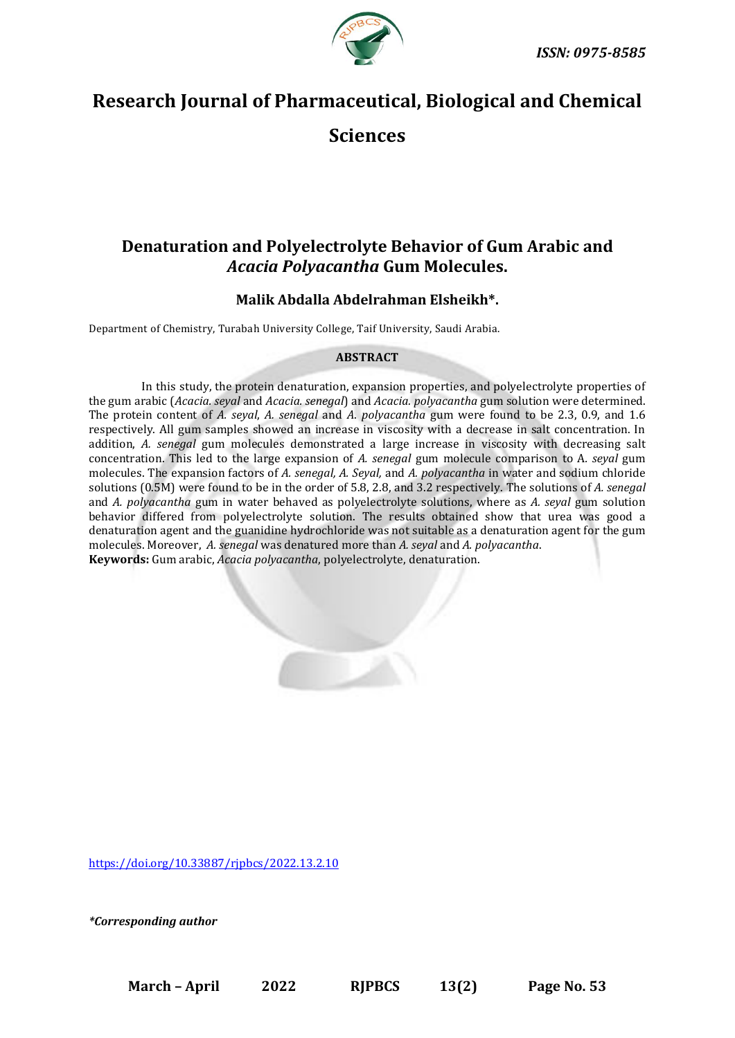

# **Research Journal of Pharmaceutical, Biological and Chemical**

**Sciences**

## **Denaturation and Polyelectrolyte Behavior of Gum Arabic and**  *Acacia Polyacantha* **Gum Molecules.**

### **Malik Abdalla Abdelrahman Elsheikh\*.**

Department of Chemistry, Turabah University College, Taif University, Saudi Arabia.

#### **ABSTRACT**

In this study, the protein denaturation, expansion properties, and polyelectrolyte properties of the gum arabic (*Acacia. seyal* and *Acacia. senegal*) and *Acacia. polyacantha* gum solution were determined. The protein content of *A. seyal*, *A. senegal* and *A*. *polyacantha* gum were found to be 2.3, 0.9, and 1.6 respectively. All gum samples showed an increase in viscosity with a decrease in salt concentration. In addition, *A. senegal* gum molecules demonstrated a large increase in viscosity with decreasing salt concentration. This led to the large expansion of *A. senegal* gum molecule comparison to A*. seyal* gum molecules. The expansion factors of *A. senegal, A. Seyal,* and *A. polyacantha* in water and sodium chloride solutions (0.5M) were found to be in the order of 5.8, 2.8, and 3.2 respectively. The solutions of *A. senegal* and *A. polyacantha* gum in water behaved as polyelectrolyte solutions, where as *A. seyal* gum solution behavior differed from polyelectrolyte solution. The results obtained show that urea was good a denaturation agent and the guanidine hydrochloride was not suitable as a denaturation agent for the gum molecules. Moreover, *A. senegal* was denatured more than *A. seyal* and *A. polyacantha*. **Keywords:** Gum arabic, *Acacia polyacantha*, polyelectrolyte, denaturation.

<https://doi.org/10.33887/rjpbcs/2022.13.2.10>

*\*Corresponding author*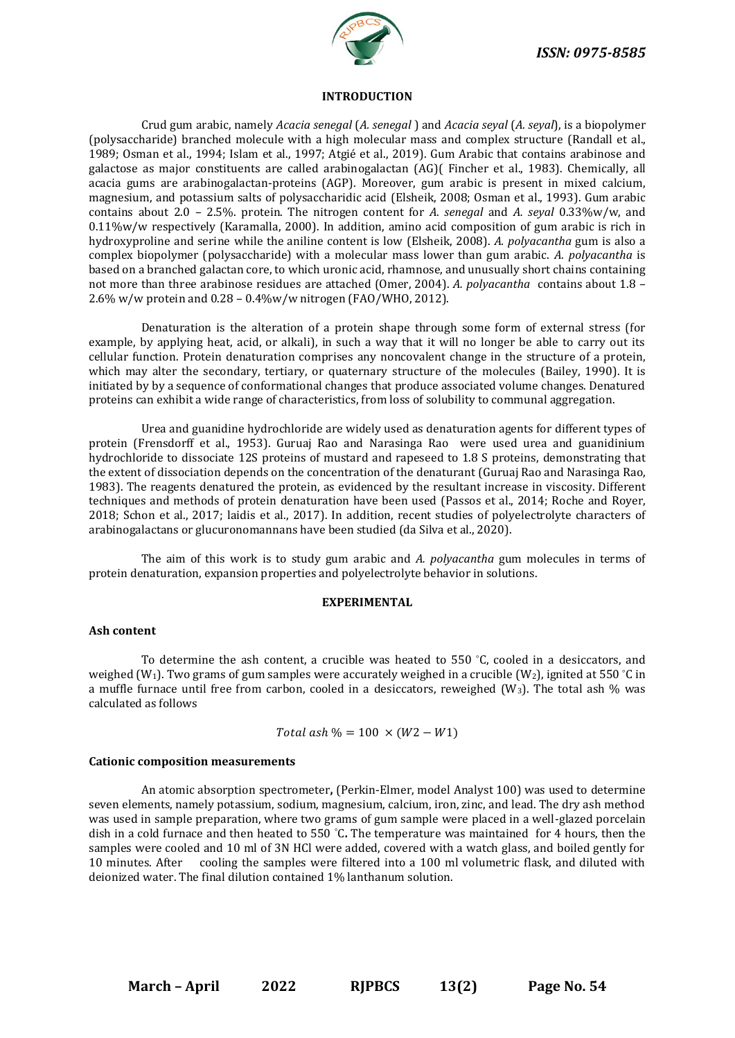

#### **INTRODUCTION**

Crud gum arabic, namely *Acacia senegal* (*A. senegal* ) and *Acacia seyal* (*A. seyal*), is a biopolymer (polysaccharide) branched molecule with a high molecular mass and complex structure (Randall et al., 1989; Osman et al., 1994; Islam et al., 1997; Atgié et al., 2019). Gum Arabic that contains arabinose and galactose as major constituents are called arabinogalactan (AG)( Fincher et al., 1983). Chemically, all acacia gums are arabinogalactan-proteins (AGP). Moreover, gum arabic is present in mixed calcium, magnesium, and potassium salts of polysaccharidic acid (Elsheik, 2008; Osman et al., 1993). Gum arabic contains about 2.0 – 2.5%. protein. The nitrogen content for *A. senegal* and *A. seyal* 0.33%w/w, and 0.11%w/w respectively (Karamalla, 2000). In addition, amino acid composition of gum arabic is rich in hydroxyproline and serine while the aniline content is low (Elsheik, 2008). *A. polyacantha* gum is also a complex biopolymer (polysaccharide) with a molecular mass lower than gum arabic. *A. polyacantha* is based on a branched galactan core, to which uronic acid, rhamnose, and unusually short chains containing not more than three arabinose residues are attached (Omer, 2004). *A. polyacantha* contains about 1.8 – 2.6% w/w protein and 0.28 – 0.4%w/w nitrogen (FAO/WHO, 2012).

Denaturation is the alteration of a protein shape through some form of external stress (for example, by applying heat, acid, or alkali), in such a way that it will no longer be able to carry out its cellular function. Protein denaturation comprises any noncovalent change in the structure of a protein, which may alter the secondary, tertiary, or quaternary structure of the molecules (Bailey, 1990). It is initiated by by a sequence of conformational changes that produce associated volume changes. Denatured proteins can exhibit a wide range of characteristics, from loss of solubility to communal aggregation.

Urea and guanidine hydrochloride are widely used as denaturation agents for different types of protein (Frensdorff et al., 1953). Guruaj Rao and Narasinga Rao were used urea and guanidinium hydrochloride to dissociate 12S proteins of mustard and rapeseed to 1.8 S proteins, demonstrating that the extent of dissociation depends on the concentration of the denaturant (Guruaj Rao and Narasinga Rao, 1983). The reagents denatured the protein, as evidenced by the resultant increase in viscosity. Different techniques and methods of protein denaturation have been used (Passos et al., 2014; Roche and Royer, 2018; Schon et al., 2017; laidis et al., 2017). In addition, recent studies of polyelectrolyte characters of arabinogalactans or glucuronomannans have been studied (da Silva et al., 2020).

The aim of this work is to study gum arabic and *A. polyacantha* gum molecules in terms of protein denaturation, expansion properties and polyelectrolyte behavior in solutions.

#### **EXPERIMENTAL**

#### **Ash content**

To determine the ash content, a crucible was heated to 550  $\degree$ C, cooled in a desiccators, and weighed (W<sub>1</sub>). Two grams of gum samples were accurately weighed in a crucible (W<sub>2</sub>), ignited at 550 °C in a muffle furnace until free from carbon, cooled in a desiccators, reweighed  $(W_3)$ . The total ash % was calculated as follows

 $Total \;ash\% = 100 \times (W2 - W1)$ 

#### **Cationic composition measurements**

An atomic absorption spectrometer**,** (Perkin-Elmer, model Analyst 100) was used to determine seven elements, namely potassium, sodium, magnesium, calcium, iron, zinc, and lead. The dry ash method was used in sample preparation, where two grams of gum sample were placed in a well-glazed porcelain dish in a cold furnace and then heated to 550 °C**.** The temperature was maintained for 4 hours, then the samples were cooled and 10 ml of 3N HCl were added, covered with a watch glass, and boiled gently for 10 minutes. After cooling the samples were filtered into a 100 ml volumetric flask, and diluted with deionized water. The final dilution contained 1% lanthanum solution.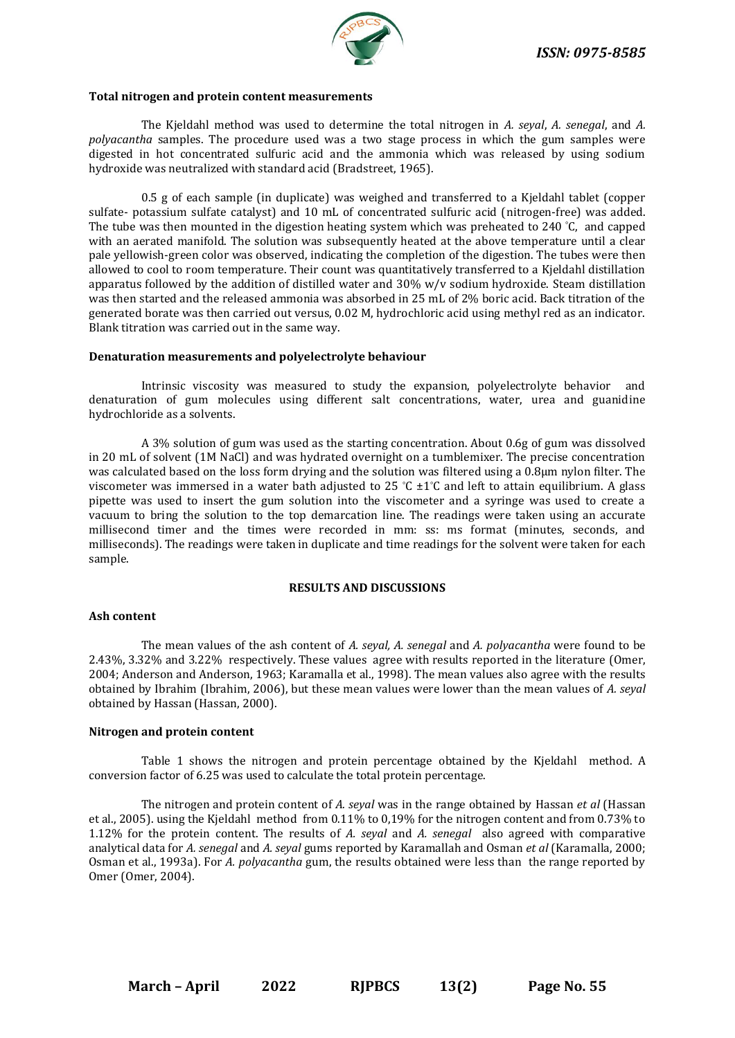

#### **Total nitrogen and protein content measurements**

The Kjeldahl method was used to determine the total nitrogen in *A. seyal*, *A. senegal*, and *A. polyacantha* samples. The procedure used was a two stage process in which the gum samples were digested in hot concentrated sulfuric acid and the ammonia which was released by using sodium hydroxide was neutralized with standard acid (Bradstreet, 1965).

0.5 g of each sample (in duplicate) was weighed and transferred to a Kjeldahl tablet (copper sulfate- potassium sulfate catalyst) and 10 mL of concentrated sulfuric acid (nitrogen-free) was added. The tube was then mounted in the digestion heating system which was preheated to 240 °C, and capped with an aerated manifold. The solution was subsequently heated at the above temperature until a clear pale yellowish-green color was observed, indicating the completion of the digestion. The tubes were then allowed to cool to room temperature. Their count was quantitatively transferred to a Kjeldahl distillation apparatus followed by the addition of distilled water and 30% w/v sodium hydroxide. Steam distillation was then started and the released ammonia was absorbed in 25 mL of 2% boric acid. Back titration of the generated borate was then carried out versus, 0.02 M, hydrochloric acid using methyl red as an indicator. Blank titration was carried out in the same way.

#### **Denaturation measurements and polyelectrolyte behaviour**

Intrinsic viscosity was measured to study the expansion, polyelectrolyte behavior and denaturation of gum molecules using different salt concentrations, water, urea and guanidine hydrochloride as a solvents.

A 3% solution of gum was used as the starting concentration. About 0.6g of gum was dissolved in 20 mL of solvent (1M NaCl) and was hydrated overnight on a tumblemixer. The precise concentration was calculated based on the loss form drying and the solution was filtered using a 0.8µm nylon filter. The viscometer was immersed in a water bath adjusted to 25 °C ±1°C and left to attain equilibrium. A glass pipette was used to insert the gum solution into the viscometer and a syringe was used to create a vacuum to bring the solution to the top demarcation line. The readings were taken using an accurate millisecond timer and the times were recorded in mm: ss: ms format (minutes, seconds, and milliseconds). The readings were taken in duplicate and time readings for the solvent were taken for each sample.

#### **RESULTS AND DISCUSSIONS**

#### **Ash content**

The mean values of the ash content of *A. seyal, A. senegal* and *A. polyacantha* were found to be 2.43%, 3.32% and 3.22% respectively. These values agree with results reported in the literature (Omer, 2004; Anderson and Anderson, 1963; Karamalla et al., 1998). The mean values also agree with the results obtained by Ibrahim (Ibrahim, 2006), but these mean values were lower than the mean values of *A. seyal* obtained by Hassan (Hassan, 2000).

#### **Nitrogen and protein content**

Table 1 shows the nitrogen and protein percentage obtained by the Kjeldahl method. A conversion factor of 6.25 was used to calculate the total protein percentage.

The nitrogen and protein content of *A. seyal* was in the range obtained by Hassan *et al* (Hassan et al., 2005). using the Kjeldahl method from 0.11% to 0,19% for the nitrogen content and from 0.73% to 1.12% for the protein content. The results of *A. seyal* and *A. senegal* also agreed with comparative analytical data for *A. senegal* and *A. seyal* gums reported by Karamallah and Osman *et al* (Karamalla, 2000; Osman et al., 1993a). For *A. polyacantha* gum, the results obtained were less than the range reported by Omer (Omer, 2004).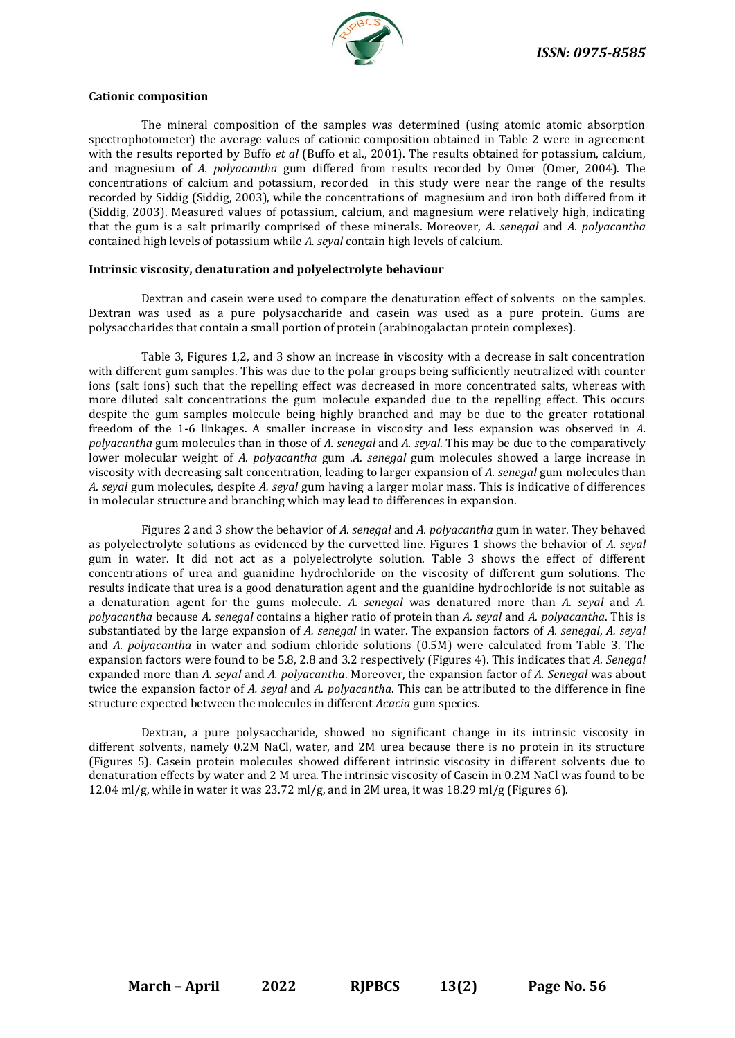

#### **Cationic composition**

The mineral composition of the samples was determined (using atomic atomic absorption spectrophotometer) the average values of cationic composition obtained in Table 2 were in agreement with the results reported by Buffo *et al* (Buffo et al., 2001). The results obtained for potassium, calcium, and magnesium of *A. polyacantha* gum differed from results recorded by Omer (Omer, 2004). The concentrations of calcium and potassium, recorded in this study were near the range of the results recorded by Siddig (Siddig, 2003), while the concentrations of magnesium and iron both differed from it (Siddig, 2003). Measured values of potassium, calcium, and magnesium were relatively high, indicating that the gum is a salt primarily comprised of these minerals. Moreover, *A. senegal* and *A. polyacantha* contained high levels of potassium while *A. seyal* contain high levels of calcium.

#### **Intrinsic viscosity, denaturation and polyelectrolyte behaviour**

Dextran and casein were used to compare the denaturation effect of solvents on the samples. Dextran was used as a pure polysaccharide and casein was used as a pure protein. Gums are polysaccharides that contain a small portion of protein (arabinogalactan protein complexes).

Table 3, Figures 1,2, and 3 show an increase in viscosity with a decrease in salt concentration with different gum samples. This was due to the polar groups being sufficiently neutralized with counter ions (salt ions) such that the repelling effect was decreased in more concentrated salts, whereas with more diluted salt concentrations the gum molecule expanded due to the repelling effect. This occurs despite the gum samples molecule being highly branched and may be due to the greater rotational freedom of the 1-6 linkages. A smaller increase in viscosity and less expansion was observed in *A. polyacantha* gum molecules than in those of *A. senegal* and *A. seyal*. This may be due to the comparatively lower molecular weight of *A. polyacantha* gum .*A. senegal* gum molecules showed a large increase in viscosity with decreasing salt concentration, leading to larger expansion of *A. senegal* gum molecules than *A. seyal* gum molecules, despite *A. seyal* gum having a larger molar mass. This is indicative of differences in molecular structure and branching which may lead to differences in expansion.

Figures 2 and 3 show the behavior of *A. senegal* and *A. polyacantha* gum in water. They behaved as polyelectrolyte solutions as evidenced by the curvetted line. Figures 1 shows the behavior of *A. seyal* gum in water. It did not act as a polyelectrolyte solution. Table 3 shows the effect of different concentrations of urea and guanidine hydrochloride on the viscosity of different gum solutions. The results indicate that urea is a good denaturation agent and the guanidine hydrochloride is not suitable as a denaturation agent for the gums molecule. *A. senegal* was denatured more than *A. seyal* and *A. polyacantha* because *A. senegal* contains a higher ratio of protein than *A. seyal* and *A. polyacantha*. This is substantiated by the large expansion of *A. senegal* in water. The expansion factors of *A. senegal*, *A. seyal* and *A. polyacantha* in water and sodium chloride solutions (0.5M) were calculated from Table 3. The expansion factors were found to be 5.8, 2.8 and 3.2 respectively (Figures 4). This indicates that *A. Senegal* expanded more than *A. seyal* and *A. polyacantha*. Moreover, the expansion factor of *A. Senegal* was about twice the expansion factor of *A. seyal* and *A. polyacantha*. This can be attributed to the difference in fine structure expected between the molecules in different *Acacia* gum species.

Dextran, a pure polysaccharide, showed no significant change in its intrinsic viscosity in different solvents, namely 0.2M NaCl, water, and 2M urea because there is no protein in its structure (Figures 5). Casein protein molecules showed different intrinsic viscosity in different solvents due to denaturation effects by water and 2 M urea. The intrinsic viscosity of Casein in 0.2M NaCl was found to be 12.04 ml/g, while in water it was 23.72 ml/g, and in 2M urea, it was 18.29 ml/g (Figures 6).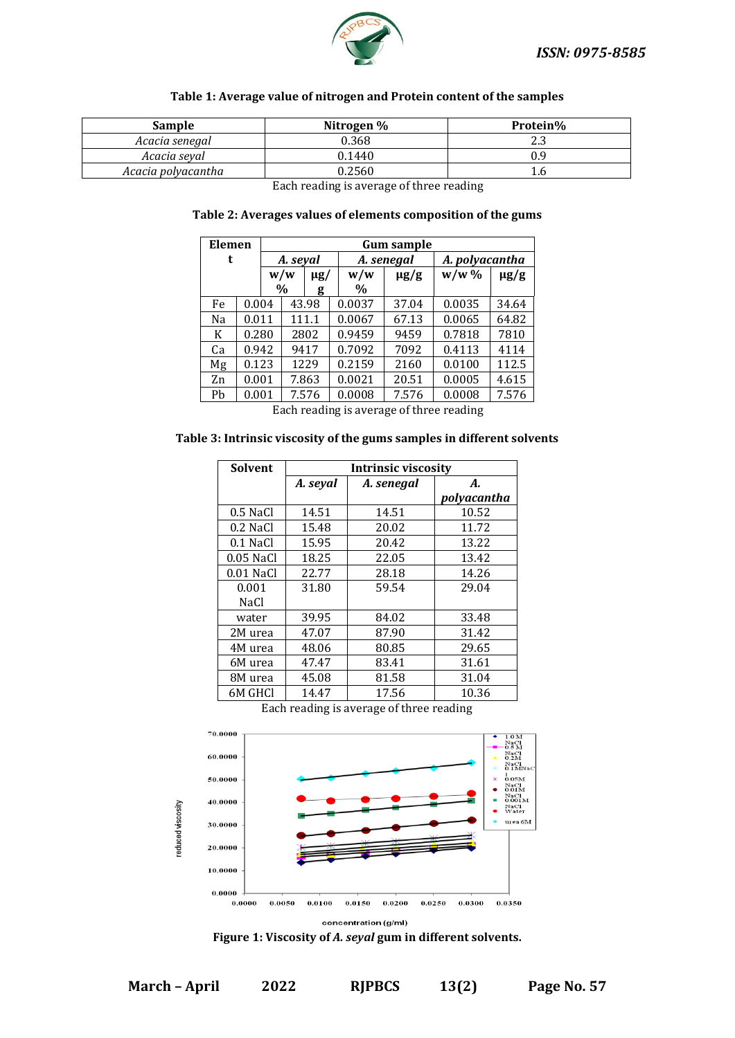

#### **Table 1: Average value of nitrogen and Protein content of the samples**

| Sample             | Nitrogen % | Protein% |
|--------------------|------------|----------|
| Acacia senegal     | 0.368      | 2.3      |
| Acacia seval       | 0.1440     | 0.9      |
| Acacia polyacantha | 0.2560     | 1.0      |

Each reading is average of three reading

#### **Table 2: Averages values of elements composition of the gums**

| Elemen |       |  | <b>Gum sample</b> |          |        |            |         |                |  |
|--------|-------|--|-------------------|----------|--------|------------|---------|----------------|--|
| t      |       |  | A. seyal          |          |        | A. senegal |         | A. polyacantha |  |
|        |       |  | w/w               | $\mu$ g/ | w/w    | $\mu$ g/g  | $w/w$ % | $\mu$ g/g      |  |
|        |       |  | $\%$              | g        | $\%$   |            |         |                |  |
| Fe     | 0.004 |  |                   | 43.98    | 0.0037 | 37.04      | 0.0035  | 34.64          |  |
| Na     | 0.011 |  |                   | 111.1    | 0.0067 | 67.13      | 0.0065  | 64.82          |  |
| K      | 0.280 |  |                   | 2802     | 0.9459 | 9459       | 0.7818  | 7810           |  |
| Ca     | 0.942 |  |                   | 9417     | 0.7092 | 7092       | 0.4113  | 4114           |  |
| Mg     | 0.123 |  |                   | 1229     | 0.2159 | 2160       | 0.0100  | 112.5          |  |
| Zn     | 0.001 |  |                   | 7.863    | 0.0021 | 20.51      | 0.0005  | 4.615          |  |
| Ph     | 0.001 |  |                   | 7.576    | 0.0008 | 7.576      | 0.0008  | 7.576          |  |

Each reading is average of three reading

#### **Table 3: Intrinsic viscosity of the gums samples in different solvents**

| <b>Solvent</b> | <b>Intrinsic viscosity</b> |            |             |  |  |  |  |
|----------------|----------------------------|------------|-------------|--|--|--|--|
|                | A. seyal                   | A. senegal | А.          |  |  |  |  |
|                |                            |            | polyacantha |  |  |  |  |
| $0.5$ NaCl     | 14.51                      | 14.51      | 10.52       |  |  |  |  |
| 0.2 NaCl       | 15.48                      | 20.02      | 11.72       |  |  |  |  |
| 0.1 NaCl       | 15.95                      | 20.42      | 13.22       |  |  |  |  |
| $0.05$ NaCl    | 18.25                      | 22.05      | 13.42       |  |  |  |  |
| $0.01$ NaCl    | 22.77                      | 28.18      | 14.26       |  |  |  |  |
| 0.001          | 31.80                      | 59.54      | 29.04       |  |  |  |  |
| NaCl           |                            |            |             |  |  |  |  |
| water          | 39.95                      | 84.02      | 33.48       |  |  |  |  |
| 2M urea        | 47.07                      | 87.90      | 31.42       |  |  |  |  |
| 4M urea        | 48.06                      | 80.85      | 29.65       |  |  |  |  |
| 6M urea        | 47.47                      | 83.41      | 31.61       |  |  |  |  |
| 8M urea        | 45.08                      | 81.58      | 31.04       |  |  |  |  |
| 6M GHCl        | 14.47                      | 17.56      | 10.36       |  |  |  |  |

Each reading is average of three reading



concentration (g/ml)

#### **Figure 1: Viscosity of** *A. seyal* **gum in different solvents.**

**March – April 2022 RJPBCS 13(2) Page No. 57**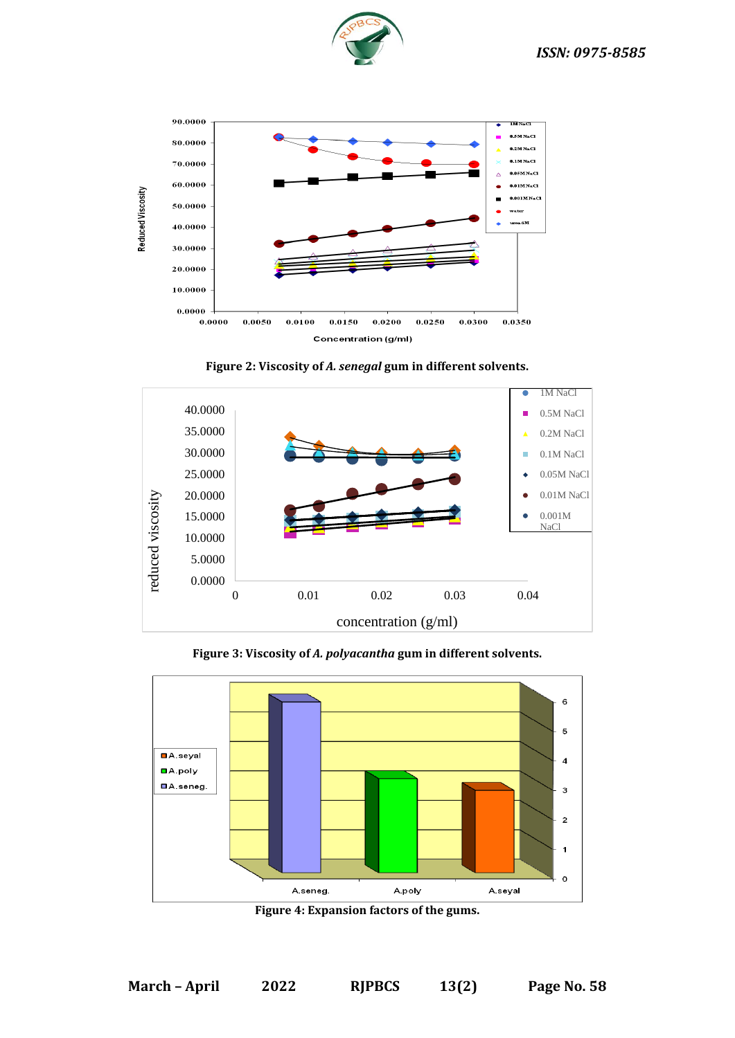



**Figure 2: Viscosity of** *A. senegal* **gum in different solvents.**



**Figure 3: Viscosity of** *A. polyacantha* **gum in different solvents.**



**Figure 4: Expansion factors of the gums.**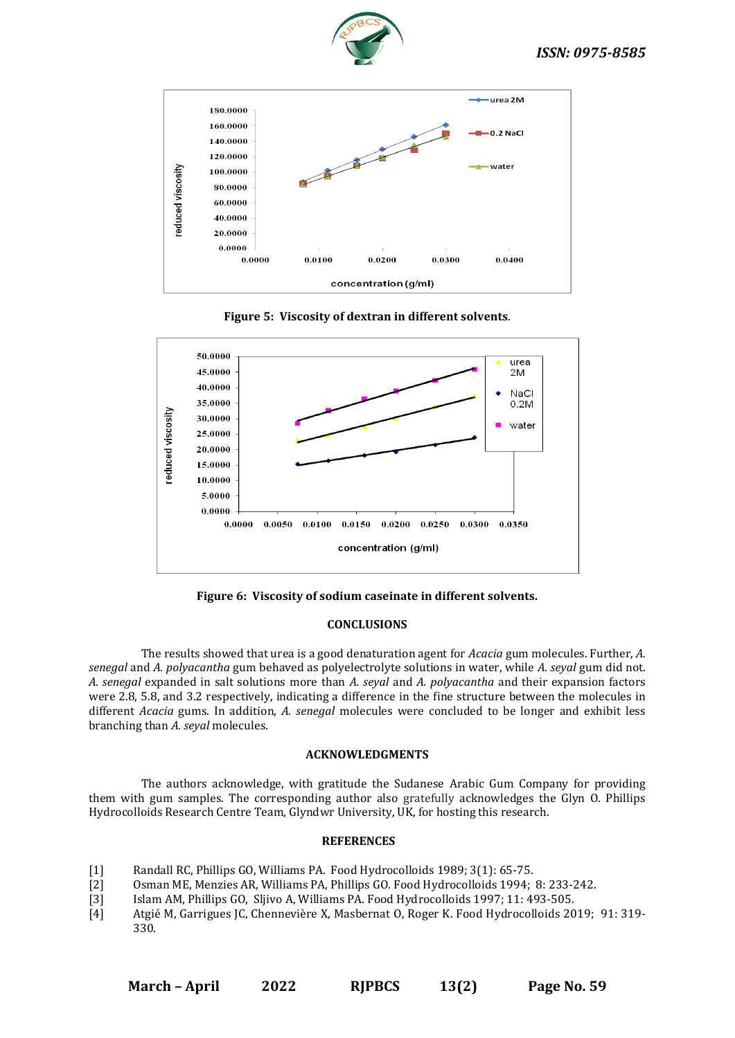



**Figure 5: Viscosity of dextran in different solvents**.



**Figure 6: Viscosity of sodium caseinate in different solvents.**

#### **CONCLUSIONS**

The results showed that urea is a good denaturation agent for *Acacia* gum molecules. Further, *A. senegal* and *A. polyacantha* gum behaved as polyelectrolyte solutions in water, while *A. seyal* gum did not. *A. senegal* expanded in salt solutions more than *A. seyal* and *A. polyacantha* and their expansion factors were 2.8, 5.8, and 3.2 respectively, indicating a difference in the fine structure between the molecules in different *Acacia* gums. In addition, *A. senegal* molecules were concluded to be longer and exhibit less branching than *A. seyal* molecules.

#### **ACKNOWLEDGMENTS**

The authors acknowledge, with gratitude the Sudanese Arabic Gum Company for providing them with gum samples. The corresponding author also gratefully acknowledges the Glyn O. Phillips Hydrocolloids Research Centre Team, Glyndwr University, UK, for hosting this research.

#### **REFERENCES**

- [1] Randall RC, Phillips GO, Williams PA. Food Hydrocolloids 1989; 3(1): 65-75.
- [2] Osman ME, Menzies AR, Williams PA, Phillips GO. Food Hydrocolloids 1994; 8: 233-242.<br>[3] Islam AM, Phillips GO, Sljivo A, Williams PA. Food Hydrocolloids 1997; 11: 493-505.
- [3] Islam AM, Phillips GO, Sljivo A, Williams PA. Food Hydrocolloids 1997; 11: 493-505.
- [4] Atgié M, Garrigues JC, Chennevière X, Masbernat O, Roger K. Food Hydrocolloids 2019; 91: 319- 330.